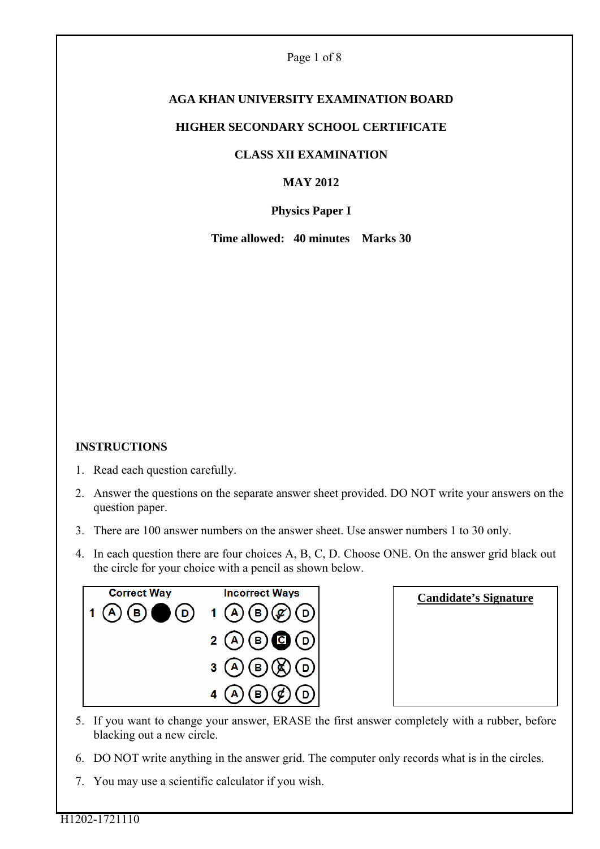# **AGA KHAN UNIVERSITY EXAMINATION BOARD**

#### **HIGHER SECONDARY SCHOOL CERTIFICATE**

### **CLASS XII EXAMINATION**

# **MAY 2012**

# **Physics Paper I**

**Time allowed: 40 minutes Marks 30** 

#### **INSTRUCTIONS**

- 1. Read each question carefully.
- 2. Answer the questions on the separate answer sheet provided. DO NOT write your answers on the question paper.
- 3. There are 100 answer numbers on the answer sheet. Use answer numbers 1 to 30 only.
- 4. In each question there are four choices A, B, C, D. Choose ONE. On the answer grid black out the circle for your choice with a pencil as shown below.



| <b>Candidate's Signature</b> |  |
|------------------------------|--|
|                              |  |
|                              |  |
|                              |  |
|                              |  |

- 5. If you want to change your answer, ERASE the first answer completely with a rubber, before blacking out a new circle.
- 6. DO NOT write anything in the answer grid. The computer only records what is in the circles.
- 7. You may use a scientific calculator if you wish.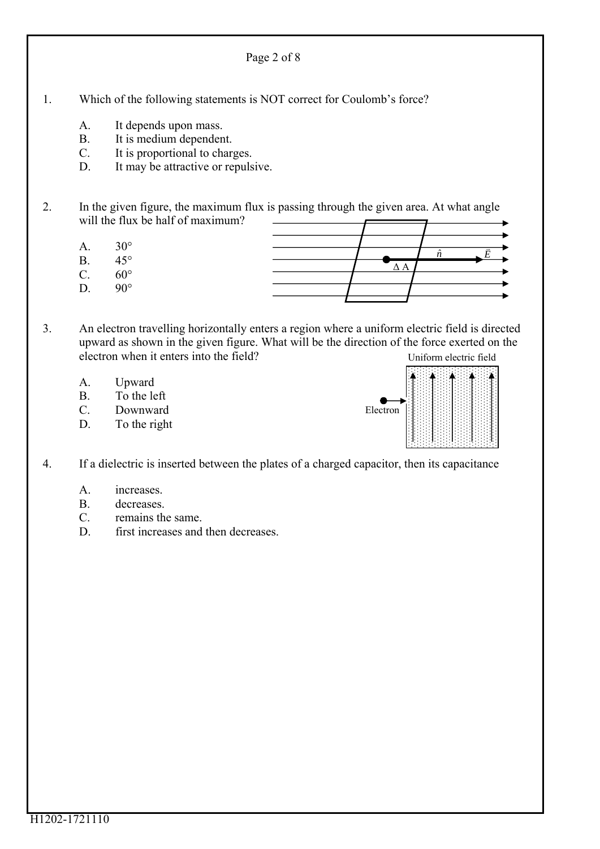- 1. Which of the following statements is NOT correct for Coulomb's force?
	- A. It depends upon mass.
	- B. It is medium dependent.
	- C. It is proportional to charges.
	- D. It may be attractive or repulsive.
- 2. In the given figure, the maximum flux is passing through the given area. At what angle will the flux be half of maximum?

Page 2 of 8

- A  $30^\circ$
- B. 45°
- $C = 60^{\circ}$
- D.  $90^\circ$



- 3. An electron travelling horizontally enters a region where a uniform electric field is directed upward as shown in the given figure. What will be the direction of the force exerted on the electron when it enters into the field? Uniform electric field
	- A. Upward
	- B. To the left
	- C. Downward
	- D. To the right



- 4. If a dielectric is inserted between the plates of a charged capacitor, then its capacitance
	- A. increases.
	- B. decreases.
	- C. remains the same.
	- D. first increases and then decreases.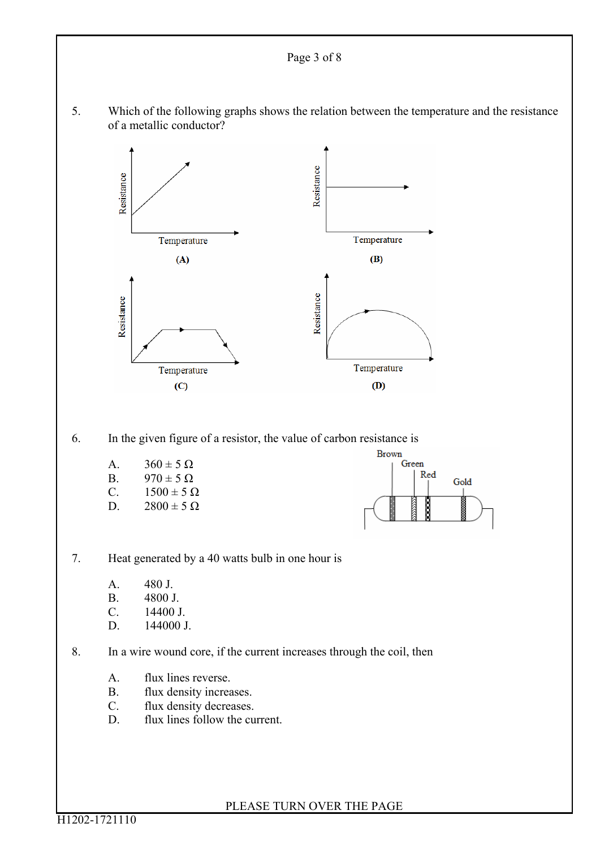#### Page 3 of 8

5. Which of the following graphs shows the relation between the temperature and the resistance of a metallic conductor?



6. In the given figure of a resistor, the value of carbon resistance is

A.  $360 \pm 5 \Omega$ B.  $970 \pm 5 \Omega$ <br>C  $1500 \pm 5 \Omega$  $1500 \pm 5 \Omega$ D.  $2800 \pm 5 \Omega$ 



7. Heat generated by a 40 watts bulb in one hour is

- A. 480 J.
- B. 4800 J.
- C. 14400 J.
- D. 144000 J.

8. In a wire wound core, if the current increases through the coil, then

- A. flux lines reverse.
- B. flux density increases.
- C. flux density decreases.
- D. flux lines follow the current.

PLEASE TURN OVER THE PAGE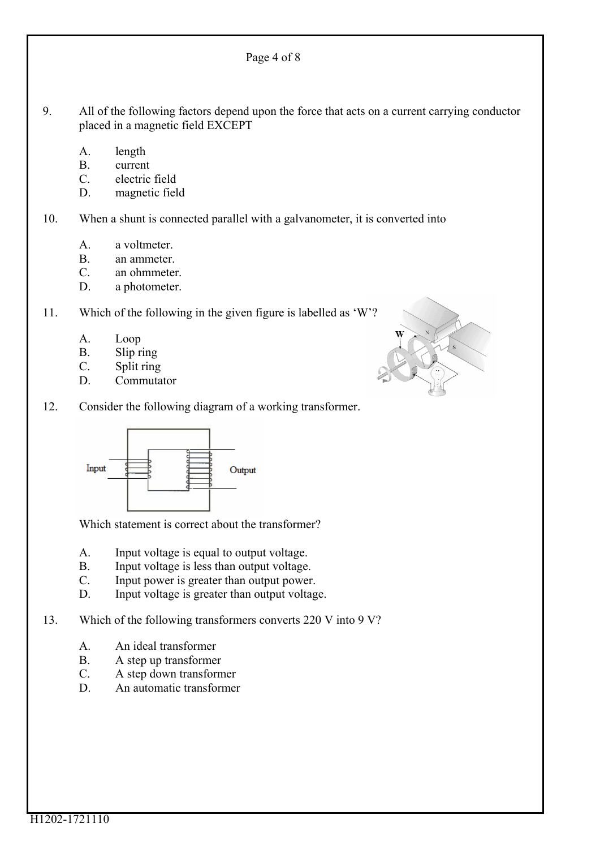9. All of the following factors depend upon the force that acts on a current carrying conductor placed in a magnetic field EXCEPT

Page 4 of 8

- A. length
- B. current
- C. electric field
- D. magnetic field

10. When a shunt is connected parallel with a galvanometer, it is converted into

- A. a voltmeter.
- B. an ammeter.
- C. an ohmmeter.
- D. a photometer.

11. Which of the following in the given figure is labelled as 'W'?

- A. Loop
- B. Slip ring
- C. Split ring
- D. Commutator
- 12. Consider the following diagram of a working transformer.



Which statement is correct about the transformer?

- A. Input voltage is equal to output voltage.
- B. Input voltage is less than output voltage.
- C. Input power is greater than output power.
- D. Input voltage is greater than output voltage.
- 13. Which of the following transformers converts 220 V into 9 V?
	- A. An ideal transformer
	- B. A step up transformer
	- C. A step down transformer
	- D. An automatic transformer

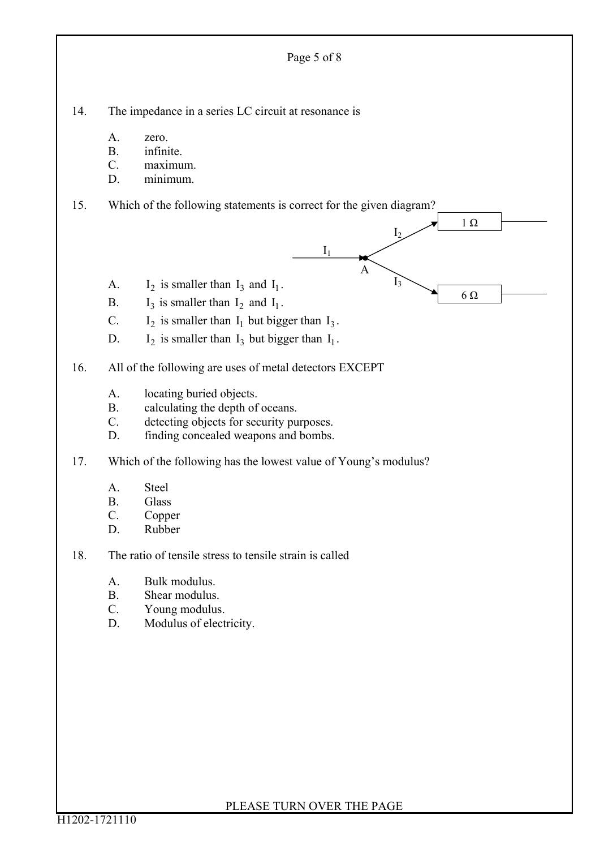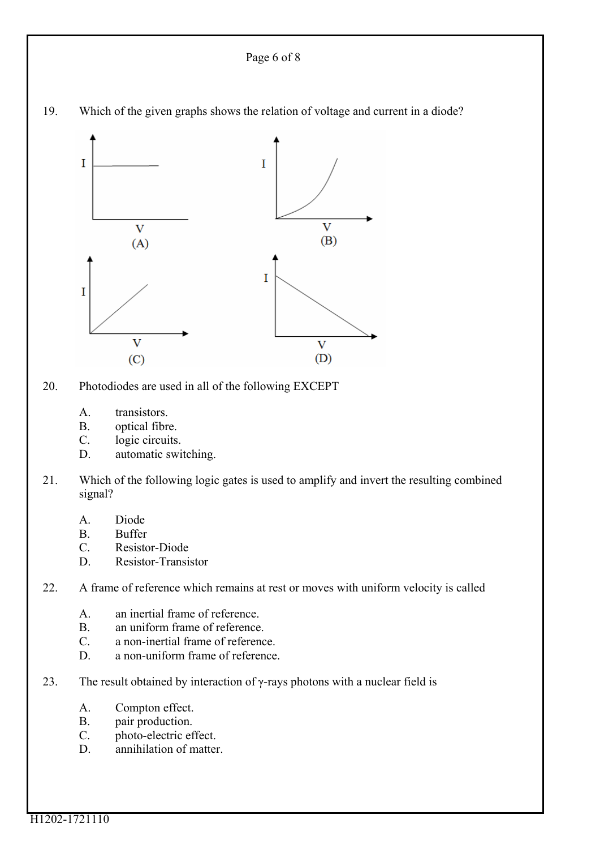```
Page 6 of 8
```


19. Which of the given graphs shows the relation of voltage and current in a diode?

20. Photodiodes are used in all of the following EXCEPT

- A. transistors.
- B. optical fibre.
- C. logic circuits.
- D. automatic switching.
- 21. Which of the following logic gates is used to amplify and invert the resulting combined signal?
	- A. Diode
	- B. Buffer
	- C. Resistor-Diode
	- D. Resistor-Transistor
- 22. A frame of reference which remains at rest or moves with uniform velocity is called
	- A. an inertial frame of reference.
	- B. an uniform frame of reference.
	- C. a non-inertial frame of reference.
	- D. a non-uniform frame of reference.
- 23. The result obtained by interaction of  $\gamma$ -rays photons with a nuclear field is
	- A. Compton effect.
	- B. pair production.
	- C. photo-electric effect.
	- D. annihilation of matter.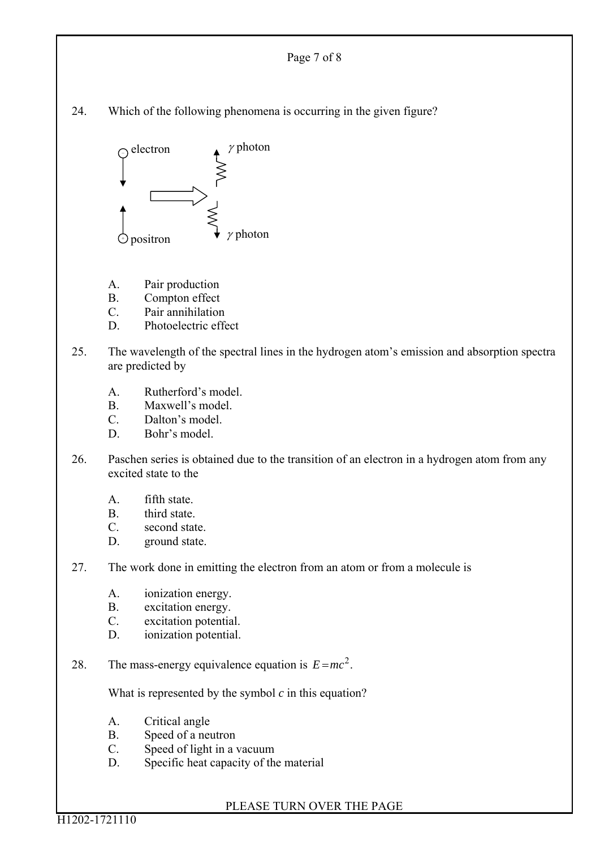

PLEASE TURN OVER THE PAGE